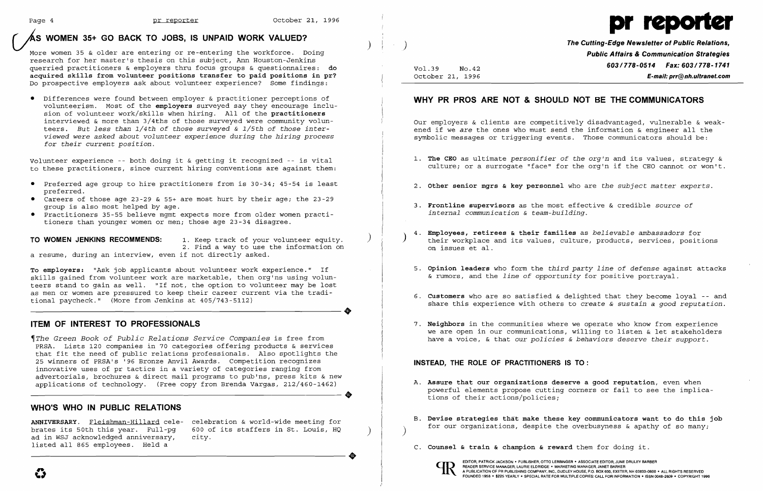# Page 4 **pr reporter 1996** October 21, 1996<br>AS WOMEN 35+ GO BACK TO JOBS, IS UNPAID WORK VALUED?

More women 35 & older are entering or re-entering the workforce. Doing research for her master's thesis on this subject, Ann Houston-Jenkins querried practitioners & employers thru focus groups & questionnaires: do acquired skills from volunteer positions transfer to paid positions in pr? Do prospective employers ask about volunteer experience? Some findings:

• Differences were found between employer & practitioner perceptions of volunteerism. Most of the employers surveyed say they encourage inclusion of volunteer work/skills when hiring. All of the practitioners interviewed & more than 3/4ths of those surveyed were community volunteers. *But less than 1/4th*  of *those surveyed*  & *1/5th*  of *those interviewed were asked about volunteer experience during the hiring process for their current position.* 

TO WOMEN JENKINS RECOMMENDS: 1. Keep track of your volunteer equity. 2. Find a way to use the information on a resume, during an interview, even if not directly asked.

Volunteer experience -- both doing it & getting it recognized -- is vital to these practitioners, since current hiring conventions are against them:

~The *Green Book of Public Relations Service Companies* is free from PRSA. Lists 120 companies in 70 categories offering products & services that fit the need of public relations professionals. Also spotlights the 25 winners of PRSA's '96 Bronze Anvil Awards. Competition recognizes innovative uses of pr tactics in a variety of categories ranging from advertorials, brochures & direct mail programs to pub'ns, press kits & new applications of technology. (Free copy from Brenda Vargas, 212/460-1462) **•** 

- • Preferred age group to hire practitioners from is 30-34; 45-54 is least preferred.
- • Careers of those age 23-29 & 55+ are most hurt by their age; the 23-29 group is also most helped by age.
- • Practitioners 35-55 believe mgmt expects more from older women practitioners than younger women or men; those age 23-34 disagree.

ANNIVERSARY. Fleishman-Hillard cele- celebration & world-wide meeting for<br>brates its 50th this year. Full-pq 600 of its staffers in St. Louis, HQ ad in WSJ acknowledged anniversary, listed all 865 employees. Held a

 $600$  of its staffers in St. Louis, HQ city.

To employers: "Ask job applicants about volunteer work experience." If skills gained from volunteer work are marketable, then org'ns using volunteers stand to gain as well. "If not, the option to volunteer may be lost as men or women are pressured to keep their career current via the tradi-----------------------. tional paycheck." (More from Jenkins at 405/743-5112)

### ITEM OF INTEREST TO PROFESSIONALS

### WHO'S WHO IN PUBLIC RELATIONS

..

EDITOR, PATRICK JACKSON • PUBLISHER, OTTO LERBINGER • ASSOCIATE EDITOR, JUNE DRULEY BARBER<br>PEADER SERVICE MANAGER, LAURIE ELDRIDGE • MARKETING MANAGER, JANET BARKER<br>POUNDED 1958 • \$225 YEARLY • SPECIAL RATE FOR MULTIPLE CO READER SERVICE MANAGER, LAURIE ELDRIDGE · MARKETING MANAGER, JANET BARKER



The Cutting-Edge Newsletter of Public Relations, ) Public Affairs & Communication Strategies Vol.39 No.42 **603/778-0514 Fax: 603/778-1741** October 21, 1996 E-mail: prr@nh.ultranet.com

### WHY PR PROS ARE NOT & SHOULD NOT BE THE COMMUNICATORS

Our employers & clients are competitively disadvantaged, vulnerable & weakened if we *are* the ones who must send the information & engineer all the symbolic messages or triggering events. Those communicators should be:

1. The CEO as ultimate *personifier* of *the org'n* and its values, strategy & culture; or a surrogate "face" for the org'n if the CEO cannot or won't.

- 
- 2. Other senior mgrs & key personnel who are *the subject matter experts.*
- 3. Frontline supervisors as the most effective & credible *source* of *internal communication* & *team-building.*
- 4. Employees, retirees & their families as *believable ambassadors* for ) their workplace and its values, culture, products, services, positions on issues et al.
- & rumors, and the *line* of *opportunity* for positive portrayal.
- 6. Customers who are so satisfied & delighted that they become loyal  $-$  and
- 7. Neighbors in the communities where we operate who know from experience

5. Opinion leaders who form the *third party line* of *defense* against attacks

share this experience with others to *create* & *sustain* a *good reputation.* 

we are open in our communications, willing to listen & let stakeholders have a voice, & that *our policies* & *behaviors deserve their support.* 

### INSTEAD, THE ROLE OF PRACTITIONERS IS TO:

- A. Assure that our organizations deserve a good reputation, even when tions of their actions/policies;
- B. Devise strategies that make these key communicators want to do this job
- C. Counsel & train & champion & reward them for doing it.



powerful elements propose cutting corners or fail to see the implica-

for our organizations, despite the overbusyness & apathy of so many; )